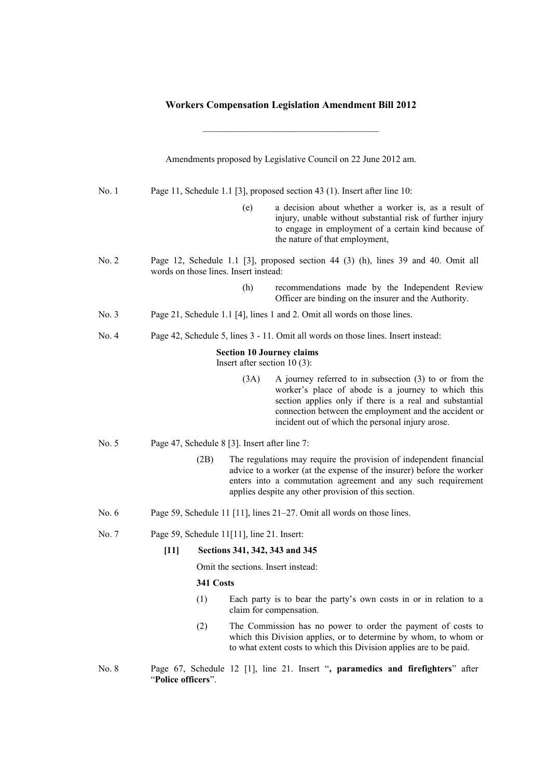## **Workers Compensation Legislation Amendment Bill 2012**

 $\mathcal{L}_\text{max}$ 

|       | Amendments proposed by Legislative Council on 22 June 2012 am.                    |                                                                                                                            |                                                                                                                                                                                                                                                                                        |  |
|-------|-----------------------------------------------------------------------------------|----------------------------------------------------------------------------------------------------------------------------|----------------------------------------------------------------------------------------------------------------------------------------------------------------------------------------------------------------------------------------------------------------------------------------|--|
| No. 1 | Page 11, Schedule 1.1 [3], proposed section 43 (1). Insert after line 10:         |                                                                                                                            |                                                                                                                                                                                                                                                                                        |  |
|       |                                                                                   | (e)                                                                                                                        | a decision about whether a worker is, as a result of<br>injury, unable without substantial risk of further injury<br>to engage in employment of a certain kind because of<br>the nature of that employment,                                                                            |  |
| No. 2 |                                                                                   | Page 12, Schedule 1.1 [3], proposed section 44 (3) (h), lines 39 and 40. Omit all<br>words on those lines. Insert instead: |                                                                                                                                                                                                                                                                                        |  |
|       |                                                                                   | (h)                                                                                                                        | recommendations made by the Independent Review<br>Officer are binding on the insurer and the Authority.                                                                                                                                                                                |  |
| No. 3 | Page 21, Schedule 1.1 [4], lines 1 and 2. Omit all words on those lines.          |                                                                                                                            |                                                                                                                                                                                                                                                                                        |  |
| No. 4 | Page 42, Schedule 5, lines 3 - 11. Omit all words on those lines. Insert instead: |                                                                                                                            |                                                                                                                                                                                                                                                                                        |  |
|       | <b>Section 10 Journey claims</b><br>Insert after section $10(3)$ :                |                                                                                                                            |                                                                                                                                                                                                                                                                                        |  |
|       |                                                                                   | (3A)                                                                                                                       | A journey referred to in subsection $(3)$ to or from the<br>worker's place of abode is a journey to which this<br>section applies only if there is a real and substantial<br>connection between the employment and the accident or<br>incident out of which the personal injury arose. |  |
| No. 5 | Page 47, Schedule 8 [3]. Insert after line 7:                                     |                                                                                                                            |                                                                                                                                                                                                                                                                                        |  |
|       | (2B)                                                                              |                                                                                                                            | The regulations may require the provision of independent financial<br>advice to a worker (at the expense of the insurer) before the worker<br>enters into a commutation agreement and any such requirement<br>applies despite any other provision of this section.                     |  |
| No. 6 | Page 59, Schedule 11 [11], lines 21–27. Omit all words on those lines.            |                                                                                                                            |                                                                                                                                                                                                                                                                                        |  |
| No. 7 | Page 59, Schedule 11[11], line 21. Insert:                                        |                                                                                                                            |                                                                                                                                                                                                                                                                                        |  |
|       | [11] Sections 341, 342, 343 and 345                                               |                                                                                                                            |                                                                                                                                                                                                                                                                                        |  |
|       |                                                                                   | Omit the sections. Insert instead:                                                                                         |                                                                                                                                                                                                                                                                                        |  |
|       | 341 Costs                                                                         |                                                                                                                            |                                                                                                                                                                                                                                                                                        |  |
|       | (1)                                                                               |                                                                                                                            | Each party is to bear the party's own costs in or in relation to a<br>claim for compensation.                                                                                                                                                                                          |  |
|       | (2)                                                                               |                                                                                                                            | The Commission has no power to order the payment of costs to<br>which this Division applies, or to determine by whom, to whom or<br>to what extent costs to which this Division applies are to be paid.                                                                                |  |
| No. 8 | "Police officers".                                                                |                                                                                                                            | Page 67, Schedule 12 [1], line 21. Insert ", paramedics and firefighters" after                                                                                                                                                                                                        |  |